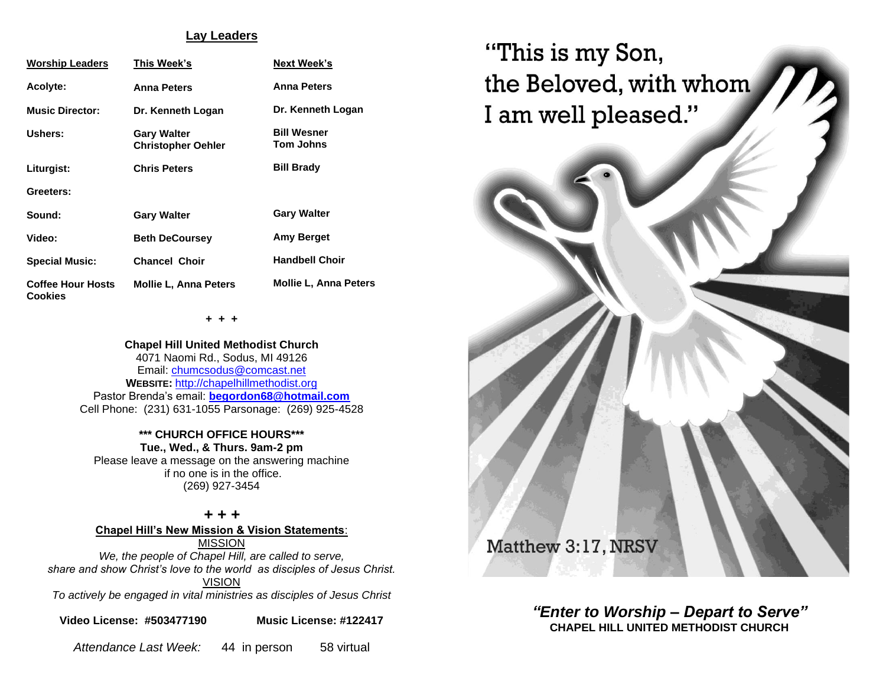### **Lay Leaders**

| <b>Worship Leaders</b>                     | This Week's                                     | <b>Next Week's</b>              |  |
|--------------------------------------------|-------------------------------------------------|---------------------------------|--|
| <b>Acolyte:</b>                            | <b>Anna Peters</b>                              | <b>Anna Peters</b>              |  |
| <b>Music Director:</b>                     | Dr. Kenneth Logan                               | Dr. Kenneth Logan               |  |
| Ushers:                                    | <b>Gary Walter</b><br><b>Christopher Oehler</b> | <b>Bill Wesner</b><br>Tom Johns |  |
| Liturgist:                                 | <b>Chris Peters</b>                             | <b>Bill Brady</b>               |  |
| Greeters:                                  |                                                 |                                 |  |
| Sound:                                     | <b>Gary Walter</b>                              | <b>Gary Walter</b>              |  |
| Video:                                     | <b>Beth DeCoursey</b>                           | Amy Berget                      |  |
| <b>Special Music:</b>                      | <b>Chancel Choir</b>                            | <b>Handbell Choir</b>           |  |
| <b>Coffee Hour Hosts</b><br><b>Cookies</b> | <b>Mollie L. Anna Peters</b>                    | <b>Mollie L. Anna Peters</b>    |  |

**+ + +**

**Chapel Hill United Methodist Church** 4071 Naomi Rd., Sodus, MI 49126 Email: [chumcsodus@comcast.net](mailto:chumcsodus@comcast.net) **WEBSITE:** [http://chapelhillmethodist.org](http://chapelhillmethodist.org/) Pastor Brenda's email: **[begordon68@hotmail.com](mailto:begordon68@hotmail.com)** Cell Phone: (231) 631-1055 Parsonage: (269) 925-4528

#### **\*\*\* CHURCH OFFICE HOURS\*\*\* Tue., Wed., & Thurs. 9am-2 pm**

Please leave a message on the answering machine if no one is in the office. (269) 927-3454

*+ + +* **Chapel Hill's New Mission & Vision Statements**: MISSION

*We, the people of Chapel Hill, are called to serve, share and show Christ's love to the world as disciples of Jesus Christ.* VISION *To actively be engaged in vital ministries as disciples of Jesus Christ*

**Video License: #503477190 Music License: #122417**

*Attendance Last Week:* 44 in person 58 virtual



*"Enter to Worship – Depart to Serve"* **CHAPEL HILL UNITED METHODIST CHURCH**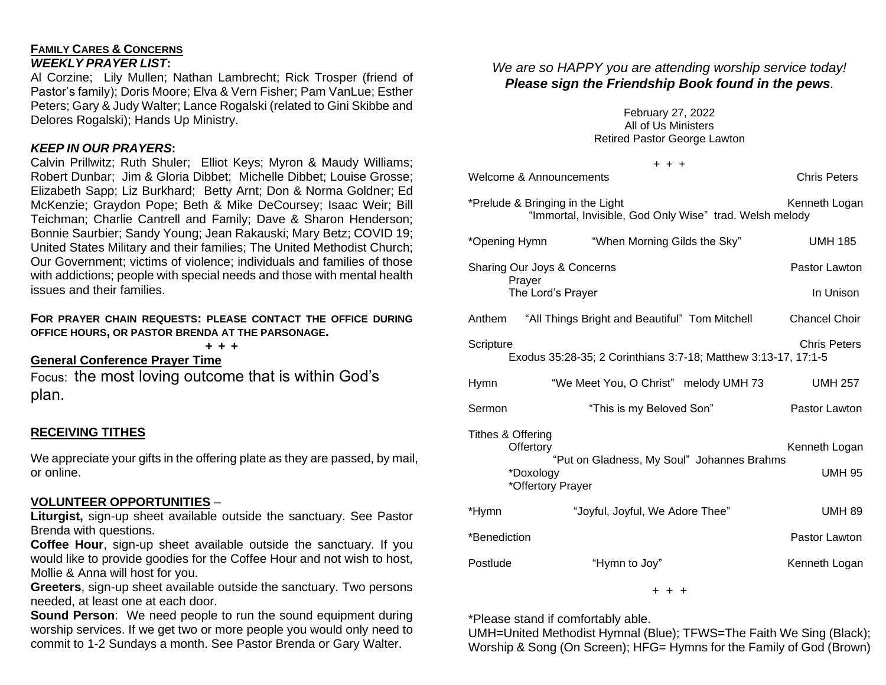## **FAMILY CARES & CONCERNS** *WEEKLY PRAYER LIST***:**

Al Corzine; Lily Mullen; Nathan Lambrecht; Rick Trosper (friend of Pastor's family); Doris Moore; Elva & Vern Fisher; Pam VanLue; Esther Peters; Gary & Judy Walter; Lance Rogalski (related to Gini Skibbe and Delores Rogalski); Hands Up Ministry.

# *KEEP IN OUR PRAYERS***:**

Calvin Prillwitz; Ruth Shuler; Elliot Keys; Myron & Maudy Williams; Robert Dunbar; Jim & Gloria Dibbet; Michelle Dibbet; Louise Grosse; Elizabeth Sapp; Liz Burkhard; Betty Arnt; Don & Norma Goldner; Ed McKenzie; Graydon Pope; Beth & Mike DeCoursey; Isaac Weir; Bill Teichman; Charlie Cantrell and Family; Dave & Sharon Henderson; Bonnie Saurbier; Sandy Young; Jean Rakauski; Mary Betz; COVID 19; United States Military and their families; The United Methodist Church; Our Government; victims of violence; individuals and families of those with addictions; people with special needs and those with mental health issues and their families.

### **FOR PRAYER CHAIN REQUESTS: PLEASE CONTACT THE OFFICE DURING OFFICE HOURS, OR PASTOR BRENDA AT THE PARSONAGE.**

**+ + +**

**General Conference Prayer Time**

Focus: the most loving outcome that is within God's plan.

# **RECEIVING TITHES**

We appreciate your gifts in the offering plate as they are passed, by mail, or online.

## **VOLUNTEER OPPORTUNITIES** –

**Liturgist,** sign-up sheet available outside the sanctuary. See Pastor Brenda with questions.

**Coffee Hour**, sign-up sheet available outside the sanctuary. If you would like to provide goodies for the Coffee Hour and not wish to host, Mollie & Anna will host for you.

**Greeters**, sign-up sheet available outside the sanctuary. Two persons needed, at least one at each door.

**Sound Person:** We need people to run the sound equipment during worship services. If we get two or more people you would only need to commit to 1-2 Sundays a month. See Pastor Brenda or Gary Walter.

# *We are so HAPPY you are attending worship service today! Please sign the Friendship Book found in the pews.*

February 27, 2022 All of Us Ministers Retired Pastor George Lawton

|              | $+ + +$                                                                                                        |                                |
|--------------|----------------------------------------------------------------------------------------------------------------|--------------------------------|
|              | <b>Welcome &amp; Announcements</b>                                                                             | <b>Chris Peters</b>            |
|              | *Prelude & Bringing in the Light<br>"Immortal, Invisible, God Only Wise" trad. Welsh melody                    | Kenneth Logan                  |
|              | *Opening Hymn "When Morning Gilds the Sky"                                                                     | <b>UMH 185</b>                 |
|              | Sharing Our Joys & Concerns<br>Prayer                                                                          | Pastor Lawton                  |
|              | The Lord's Prayer                                                                                              | In Unison                      |
|              | Anthem "All Things Bright and Beautiful" Tom Mitchell                                                          | <b>Chancel Choir</b>           |
| Scripture    | Exodus 35:28-35; 2 Corinthians 3:7-18; Matthew 3:13-17, 17:1-5                                                 | <b>Chris Peters</b>            |
| Hymn         | "We Meet You, O Christ" melody UMH 73                                                                          | <b>UMH 257</b>                 |
| Sermon       | "This is my Beloved Son"                                                                                       | Pastor Lawton                  |
|              | Tithes & Offering<br>Offertory<br>"Put on Gladness, My Soul" Johannes Brahms<br>*Doxology<br>*Offertory Prayer | Kenneth Logan<br><b>UMH 95</b> |
| *Hymn        | "Joyful, Joyful, We Adore Thee"                                                                                | <b>UMH 89</b>                  |
| *Benediction |                                                                                                                | Pastor Lawton                  |
| Postlude     | "Hymn to Joy"                                                                                                  | Kenneth Logan                  |
|              |                                                                                                                |                                |

+ + +

\*Please stand if comfortably able.

UMH=United Methodist Hymnal (Blue); TFWS=The Faith We Sing (Black); Worship & Song (On Screen); HFG= Hymns for the Family of God (Brown)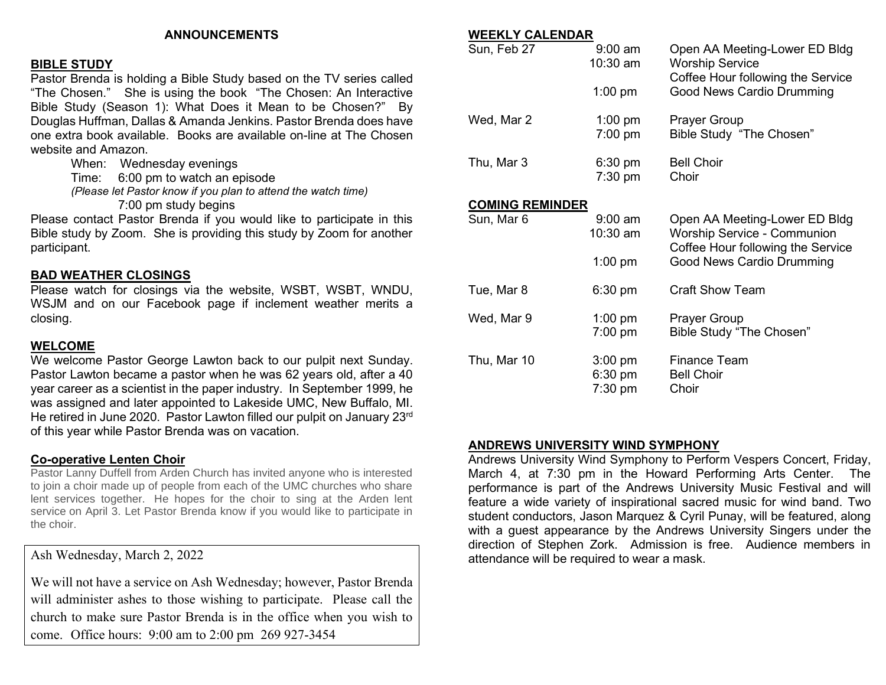### **ANNOUNCEMENTS**

### **BIBLE STUDY**

Pastor Brenda is holding a Bible Study based on the TV series called "The Chosen." She is using the book "The Chosen: An Interactive Bible Study (Season 1): What Does it Mean to be Chosen?" By Douglas Huffman, Dallas & Amanda Jenkins. Pastor Brenda does have one extra book available. Books are available on-line at The Chosen website and Amazon.

When: Wednesday evenings

Time: 6:00 pm to watch an episode

*(Please let Pastor know if you plan to attend the watch time)*

7:00 pm study begins

Please contact Pastor Brenda if you would like to participate in this Bible study by Zoom. She is providing this study by Zoom for another participant.

#### **BAD WEATHER CLOSINGS**

Please watch for closings via the website, WSBT, WSBT, WNDU, WSJM and on our Facebook page if inclement weather merits a closing.

#### **WELCOME**

We welcome Pastor George Lawton back to our pulpit next Sunday. Pastor Lawton became a pastor when he was 62 years old, after a 40 year career as a scientist in the paper industry. In September 1999, he was assigned and later appointed to Lakeside UMC, New Buffalo, MI. He retired in June 2020. Pastor Lawton filled our pulpit on January 23rd of this year while Pastor Brenda was on vacation.

#### **Co-operative Lenten Choir**

Pastor Lanny Duffell from Arden Church has invited anyone who is interested to join a choir made up of people from each of the UMC churches who share lent services together. He hopes for the choir to sing at the Arden lent service on April 3. Let Pastor Brenda know if you would like to participate in the choir.

Ash Wednesday, March 2, 2022

We will not have a service on Ash Wednesday; however, Pastor Brenda will administer ashes to those wishing to participate. Please call the church to make sure Pastor Brenda is in the office when you wish to come. Office hours: 9:00 am to 2:00 pm 269 927-3454

#### **WEEKLY CALENDAR**

| Sun, Feb 27            | $9:00$ am<br>$10:30$ am | Open AA Meeting-Lower ED Bldg<br><b>Worship Service</b><br>Coffee Hour following the Service             |  |  |
|------------------------|-------------------------|----------------------------------------------------------------------------------------------------------|--|--|
|                        | $1:00$ pm               | Good News Cardio Drumming                                                                                |  |  |
| Wed, Mar 2             | $1:00$ pm               | <b>Prayer Group</b>                                                                                      |  |  |
|                        | $7:00$ pm               | Bible Study "The Chosen"                                                                                 |  |  |
| Thu, Mar 3             | $6:30$ pm               | <b>Bell Choir</b>                                                                                        |  |  |
|                        | $7:30$ pm               | Choir                                                                                                    |  |  |
| <b>COMING REMINDER</b> |                         |                                                                                                          |  |  |
| Sun, Mar 6             | $9:00$ am<br>$10:30$ am | Open AA Meeting-Lower ED Bldg<br><b>Worship Service - Communion</b><br>Coffee Hour following the Service |  |  |
|                        | $1:00$ pm               | <b>Good News Cardio Drumming</b>                                                                         |  |  |
| Tue, Mar 8             | $6:30$ pm               | <b>Craft Show Team</b>                                                                                   |  |  |
| Wed, Mar 9             | $1:00$ pm<br>$7:00$ pm  | <b>Prayer Group</b><br>Bible Study "The Chosen"                                                          |  |  |
|                        |                         |                                                                                                          |  |  |
| Thu, Mar 10            | $3:00$ pm               | <b>Finance Team</b>                                                                                      |  |  |
|                        | 6:30 pm                 | <b>Bell Choir</b>                                                                                        |  |  |
|                        | 7:30 pm                 | Choir                                                                                                    |  |  |

### **ANDREWS UNIVERSITY WIND SYMPHONY**

Andrews University Wind Symphony to Perform Vespers Concert, Friday, March 4, at 7:30 pm in the Howard Performing Arts Center. The performance is part of the Andrews University Music Festival and will feature a wide variety of inspirational sacred music for wind band. Two student conductors, Jason Marquez & Cyril Punay, will be featured, along with a guest appearance by the Andrews University Singers under the direction of Stephen Zork. Admission is free. Audience members in attendance will be required to wear a mask.